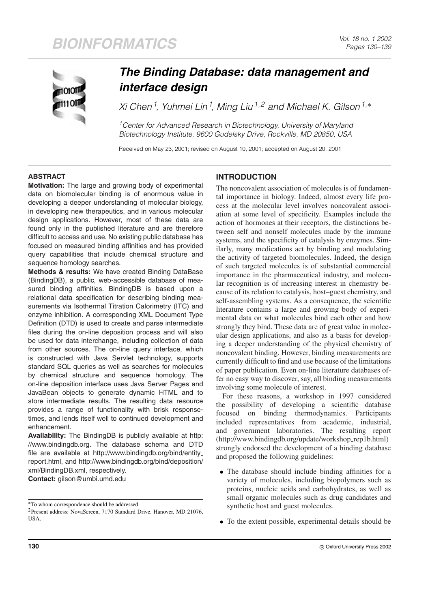

# *The Binding Database: data management and interface design*

*Xi Chen<sup>1</sup> , Yuhmei Lin<sup>1</sup> , Ming Liu1,2 and Michael K. Gilson1,*<sup>∗</sup>

*1Center for Advanced Research in Biotechnology, University of Maryland Biotechnology Institute, 9600 Gudelsky Drive, Rockville, MD 20850, USA*

Received on May 23, 2001; revised on August 10, 2001; accepted on August 20, 2001

## **ABSTRACT**

**Motivation:** The large and growing body of experimental data on biomolecular binding is of enormous value in developing a deeper understanding of molecular biology, in developing new therapeutics, and in various molecular design applications. However, most of these data are found only in the published literature and are therefore difficult to access and use. No existing public database has focused on measured binding affinities and has provided query capabilities that include chemical structure and sequence homology searches.

**Methods & results:** We have created Binding DataBase (BindingDB), a public, web-accessible database of measured binding affinities. BindingDB is based upon a relational data specification for describing binding measurements via Isothermal Titration Calorimetry (ITC) and enzyme inhibition. A corresponding XML Document Type Definition (DTD) is used to create and parse intermediate files during the on-line deposition process and will also be used for data interchange, including collection of data from other sources. The on-line query interface, which is constructed with Java Servlet technology, supports standard SQL queries as well as searches for molecules by chemical structure and sequence homology. The on-line deposition interface uses Java Server Pages and JavaBean objects to generate dynamic HTML and to store intermediate results. The resulting data resource provides a range of functionality with brisk responsetimes, and lends itself well to continued development and enhancement.

**Availability:** The BindingDB is publicly available at http: //www.bindingdb.org. The database schema and DTD file are available at http://www.bindingdb.org/bind/entity report.html, and http://www.bindingdb.org/bind/deposition/ xml/BindingDB.xml, respectively. **Contact:** gilson@umbi.umd.edu

# **INTRODUCTION**

The noncovalent association of molecules is of fundamental importance in biology. Indeed, almost every life process at the molecular level involves noncovalent association at some level of specificity. Examples include the action of hormones at their receptors, the distinctions between self and nonself molecules made by the immune systems, and the specificity of catalysis by enzymes. Similarly, many medications act by binding and modulating the activity of targeted biomolecules. Indeed, the design of such targeted molecules is of substantial commercial importance in the pharmaceutical industry, and molecular recognition is of increasing interest in chemistry because of its relation to catalysis, host–guest chemistry, and self-assembling systems. As a consequence, the scientific literature contains a large and growing body of experimental data on what molecules bind each other and how strongly they bind. These data are of great value in molecular design applications, and also as a basis for developing a deeper understanding of the physical chemistry of noncovalent binding. However, binding measurements are currently difficult to find and use because of the limitations of paper publication. Even on-line literature databases offer no easy way to discover, say, all binding measurements involving some molecule of interest.

For these reasons, a workshop in 1997 considered the possibility of developing a scientific database focused on binding thermodynamics. Participants included representatives from academic, industrial, and government laboratories. The resulting report (http://www.bindingdb.org/update/workshop rep1b.html) strongly endorsed the development of a binding database and proposed the following guidelines:

- The database should include binding affinities for a variety of molecules, including biopolymers such as proteins, nucleic acids and carbohydrates, as well as small organic molecules such as drug candidates and synthetic host and guest molecules.
- To the extent possible, experimental details should be

<sup>∗</sup>To whom correspondence should be addressed.

<sup>2</sup>Present address: NovaScreen, 7170 Standard Drive, Hanover, MD 21076, USA.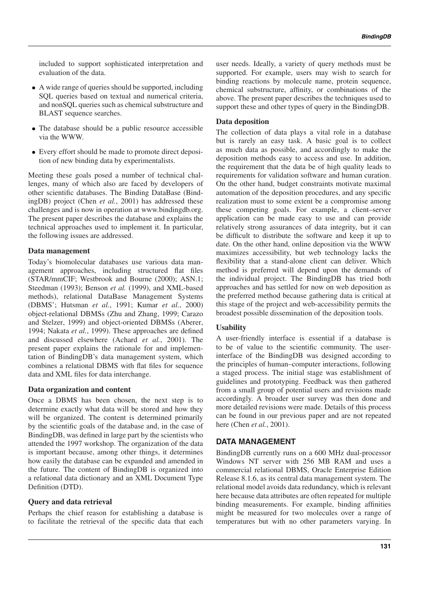included to support sophisticated interpretation and evaluation of the data.

- A wide range of queries should be supported, including SQL queries based on textual and numerical criteria, and nonSQL queries such as chemical substructure and BLAST sequence searches.
- The database should be a public resource accessible via the WWW.
- Every effort should be made to promote direct deposition of new binding data by experimentalists.

Meeting these goals posed a number of technical challenges, many of which also are faced by developers of other scientific databases. The Binding DataBase (BindingDB) project (Chen *et al.*, 2001) has addressed these challenges and is now in operation at www.bindingdb.org. The present paper describes the database and explains the technical approaches used to implement it. In particular, the following issues are addressed.

#### **Data management**

Today's biomolecular databases use various data management approaches, including structured flat files (STAR/mmCIF; Westbrook and Bourne (2000); ASN.1; Steedman (1993); Benson et al. (1999), and XML-based methods), relational DataBase Management Systems (DBMS'; Hutsman *et al.*, 1991; Kumar *et al.*, 2000) object-relational DBMSs (Zhu and Zhang, 1999; Carazo and Stelzer, 1999) and object-oriented DBMSs (Aberer, 1994; Nakata *et al.*, 1999). These approaches are defined and discussed elsewhere (Achard *et al.*, 2001). The present paper explains the rationale for and implementation of BindingDB's data management system, which combines a relational DBMS with flat files for sequence data and XML files for data interchange.

#### **Data organization and content**

Once a DBMS has been chosen, the next step is to determine exactly what data will be stored and how they will be organized. The content is determined primarily by the scientific goals of the database and, in the case of BindingDB, was defined in large part by the scientists who attended the 1997 workshop. The organization of the data is important because, among other things, it determines how easily the database can be expanded and amended in the future. The content of BindingDB is organized into a relational data dictionary and an XML Document Type Definition (DTD).

#### **Query and data retrieval**

Perhaps the chief reason for establishing a database is to facilitate the retrieval of the specific data that each user needs. Ideally, a variety of query methods must be supported. For example, users may wish to search for binding reactions by molecule name, protein sequence, chemical substructure, affinity, or combinations of the above. The present paper describes the techniques used to support these and other types of query in the BindingDB.

#### **Data deposition**

The collection of data plays a vital role in a database but is rarely an easy task. A basic goal is to collect as much data as possible, and accordingly to make the deposition methods easy to access and use. In addition, the requirement that the data be of high quality leads to requirements for validation software and human curation. On the other hand, budget constraints motivate maximal automation of the deposition procedures, and any specific realization must to some extent be a compromise among these competing goals. For example, a client–server application can be made easy to use and can provide relatively strong assurances of data integrity, but it can be difficult to distribute the software and keep it up to date. On the other hand, online deposition via the WWW maximizes accessibility, but web technology lacks the flexibility that a stand-alone client can deliver. Which method is preferred will depend upon the demands of the individual project. The BindingDB has tried both approaches and has settled for now on web deposition as the preferred method because gathering data is critical at this stage of the project and web-accessibility permits the broadest possible dissemination of the deposition tools.

#### **Usability**

A user-friendly interface is essential if a database is to be of value to the scientific community. The userinterface of the BindingDB was designed according to the principles of human–computer interactions, following a staged process. The initial stage was establishment of guidelines and prototyping. Feedback was then gathered from a small group of potential users and revisions made accordingly. A broader user survey was then done and more detailed revisions were made. Details of this process can be found in our previous paper and are not repeated here (Chen *et al.*, 2001).

#### **DATA MANAGEMENT**

BindingDB currently runs on a 600 MHz dual-processor Windows NT server with 256 MB RAM and uses a commercial relational DBMS, Oracle Enterprise Edition Release 8.1.6, as its central data management system. The relational model avoids data redundancy, which is relevant here because data attributes are often repeated for multiple binding measurements. For example, binding affinities might be measured for two molecules over a range of temperatures but with no other parameters varying. In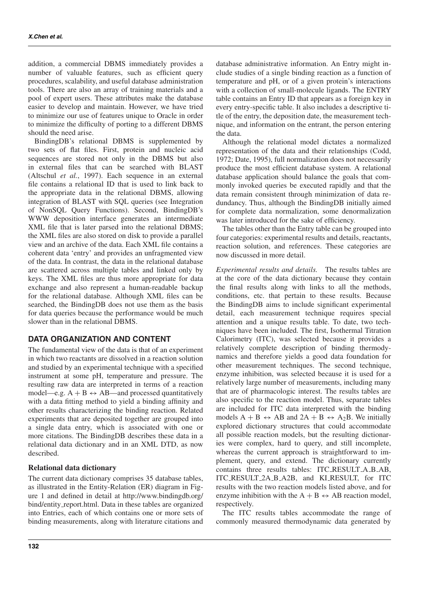addition, a commercial DBMS immediately provides a number of valuable features, such as efficient query procedures, scalability, and useful database administration tools. There are also an array of training materials and a pool of expert users. These attributes make the database easier to develop and maintain. However, we have tried to minimize our use of features unique to Oracle in order to minimize the difficulty of porting to a different DBMS should the need arise.

BindingDB's relational DBMS is supplemented by two sets of flat files. First, protein and nucleic acid sequences are stored not only in the DBMS but also in external files that can be searched with BLAST (Altschul *et al.*, 1997). Each sequence in an external file contains a relational ID that is used to link back to the appropriate data in the relational DBMS, allowing integration of BLAST with SQL queries (see Integration of NonSQL Query Functions). Second, BindingDB's WWW deposition interface generates an intermediate XML file that is later parsed into the relational DBMS; the XML files are also stored on disk to provide a parallel view and an archive of the data. Each XML file contains a coherent data 'entry' and provides an unfragmented view of the data. In contrast, the data in the relational database are scattered across multiple tables and linked only by keys. The XML files are thus more appropriate for data exchange and also represent a human-readable backup for the relational database. Although XML files can be searched, the BindingDB does not use them as the basis for data queries because the performance would be much slower than in the relational DBMS.

## **DATA ORGANIZATION AND CONTENT**

The fundamental view of the data is that of an experiment in which two reactants are dissolved in a reaction solution and studied by an experimental technique with a specified instrument at some pH, temperature and pressure. The resulting raw data are interpreted in terms of a reaction model—e.g.  $A + B \leftrightarrow AB$ —and processed quantitatively with a data fitting method to yield a binding affinity and other results characterizing the binding reaction. Related experiments that are deposited together are grouped into a single data entry, which is associated with one or more citations. The BindingDB describes these data in a relational data dictionary and in an XML DTD, as now described.

#### **Relational data dictionary**

The current data dictionary comprises 35 database tables, as illustrated in the Entity-Relation (ER) diagram in Figure 1 and defined in detail at http://www.bindingdb.org/ bind/entity report.html. Data in these tables are organized into Entries, each of which contains one or more sets of binding measurements, along with literature citations and

database administrative information. An Entry might include studies of a single binding reaction as a function of temperature and pH, or of a given protein's interactions with a collection of small-molecule ligands. The ENTRY table contains an Entry ID that appears as a foreign key in every entry-specific table. It also includes a descriptive title of the entry, the deposition date, the measurement technique, and information on the entrant, the person entering the data.

Although the relational model dictates a normalized representation of the data and their relationships (Codd, 1972; Date, 1995), full normalization does not necessarily produce the most efficient database system. A relational database application should balance the goals that commonly invoked queries be executed rapidly and that the data remain consistent through minimization of data redundancy. Thus, although the BindingDB initially aimed for complete data normalization, some denormalization was later introduced for the sake of efficiency.

The tables other than the Entry table can be grouped into four categories: experimental results and details, reactants, reaction solution, and references. These categories are now discussed in more detail.

*Experimental results and details.* The results tables are at the core of the data dictionary because they contain the final results along with links to all the methods, conditions, etc. that pertain to these results. Because the BindingDB aims to include significant experimental detail, each measurement technique requires special attention and a unique results table. To date, two techniques have been included. The first, Isothermal Titration Calorimetry (ITC), was selected because it provides a relatively complete description of binding thermodynamics and therefore yields a good data foundation for other measurement techniques. The second technique, enzyme inhibition, was selected because it is used for a relatively large number of measurements, including many that are of pharmacologic interest. The results tables are also specific to the reaction model. Thus, separate tables are included for ITC data interpreted with the binding models  $A + B \leftrightarrow AB$  and  $2A + B \leftrightarrow A_2B$ . We initially explored dictionary structures that could accommodate all possible reaction models, but the resulting dictionaries were complex, hard to query, and still incomplete, whereas the current approach is straightforward to implement, query, and extend. The dictionary currently contains three results tables: ITC RESULT A B AB, ITC RESULT 2A B A2B, and KI RESULT, for ITC results with the two reaction models listed above, and for enzyme inhibition with the  $A + B \leftrightarrow AB$  reaction model, respectively.

The ITC results tables accommodate the range of commonly measured thermodynamic data generated by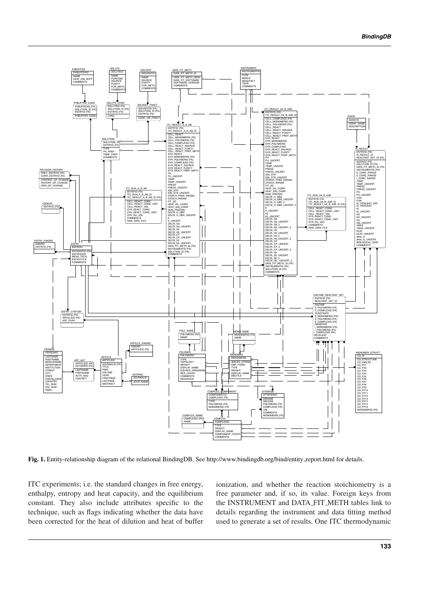

**Fig. 1.** Entity-relationship diagram of the relational BindingDB. See http://www.bindingdb.org/bind/entity report.html for details.

ITC experiments; i.e. the standard changes in free energy, enthalpy, entropy and heat capacity, and the equilibrium constant. They also include attributes specific to the technique, such as flags indicating whether the data have been corrected for the heat of dilution and heat of buffer

ionization, and whether the reaction stoichiometry is a free parameter and, if so, its value. Foreign keys from the INSTRUMENT and DATA FIT METH tables link to details regarding the instrument and data fitting method used to generate a set of results. One ITC thermodynamic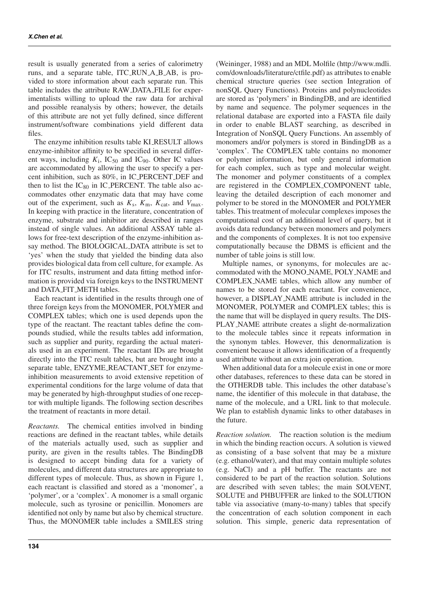result is usually generated from a series of calorimetry runs, and a separate table, ITC RUN A B AB, is provided to store information about each separate run. This table includes the attribute RAW DATA FILE for experimentalists willing to upload the raw data for archival and possible reanalysis by others; however, the details of this attribute are not yet fully defined, since different instrument/software combinations yield different data files.

The enzyme inhibition results table KI RESULT allows enzyme-inhibitor affinity to be specified in several different ways, including  $K_i$ , IC<sub>50</sub> and IC<sub>90</sub>. Other IC values are accommodated by allowing the user to specify a percent inhibition, such as 80%, in IC PERCENT DEF and then to list the  $IC_{80}$  in IC PERCENT. The table also accommodates other enzymatic data that may have come out of the experiment, such as  $K_s$ ,  $K_m$ ,  $K_{cat}$ , and  $V_{max}$ . In keeping with practice in the literature, concentration of enzyme, substrate and inhibitor are described in ranges instead of single values. An additional ASSAY table allows for free-text description of the enzyme-inhibition assay method. The BIOLOGICAL DATA attribute is set to 'yes' when the study that yielded the binding data also provides biological data from cell culture, for example. As for ITC results, instrument and data fitting method information is provided via foreign keys to the INSTRUMENT and DATA FIT METH tables.

Each reactant is identified in the results through one of three foreign keys from the MONOMER, POLYMER and COMPLEX tables; which one is used depends upon the type of the reactant. The reactant tables define the compounds studied, while the results tables add information, such as supplier and purity, regarding the actual materials used in an experiment. The reactant IDs are brought directly into the ITC result tables, but are brought into a separate table, ENZYME REACTANT SET for enzymeinhibition measurements to avoid extensive repetition of experimental conditions for the large volume of data that may be generated by high-throughput studies of one receptor with multiple ligands. The following section describes the treatment of reactants in more detail.

*Reactants.* The chemical entities involved in binding reactions are defined in the reactant tables, while details of the materials actually used, such as supplier and purity, are given in the results tables. The BindingDB is designed to accept binding data for a variety of molecules, and different data structures are appropriate to different types of molecule. Thus, as shown in Figure 1, each reactant is classified and stored as a 'monomer', a 'polymer', or a 'complex'. A monomer is a small organic molecule, such as tyrosine or penicillin. Monomers are identified not only by name but also by chemical structure. Thus, the MONOMER table includes a SMILES string (Weininger, 1988) and an MDL Molfile (http://www.mdli. com/downloads/literature/ctfile.pdf) as attributes to enable chemical structure queries (see section Integration of nonSQL Query Functions). Proteins and polynucleotides are stored as 'polymers' in BindingDB, and are identified by name and sequence. The polymer sequences in the relational database are exported into a FASTA file daily in order to enable BLAST searching, as described in Integration of NonSQL Query Functions. An assembly of monomers and/or polymers is stored in BindingDB as a 'complex'. The COMPLEX table contains no monomer or polymer information, but only general information for each complex, such as type and molecular weight. The monomer and polymer constituents of a complex are registered in the COMPLEX COMPONENT table, leaving the detailed description of each monomer and polymer to be stored in the MONOMER and POLYMER tables. This treatment of molecular complexes imposes the computational cost of an additional level of query, but it avoids data redundancy between monomers and polymers and the components of complexes. It is not too expensive computationally because the DBMS is efficient and the number of table joins is still low.

Multiple names, or synonyms, for molecules are accommodated with the MONO NAME, POLY NAME and COMPLEX NAME tables, which allow any number of names to be stored for each reactant. For convenience, however, a DISPLAY NAME attribute is included in the MONOMER, POLYMER and COMPLEX tables; this is the name that will be displayed in query results. The DIS-PLAY NAME attribute creates a slight de-normalization to the molecule tables since it repeats information in the synonym tables. However, this denormalization is convenient because it allows identification of a frequently used attribute without an extra join operation.

When additional data for a molecule exist in one or more other databases, references to these data can be stored in the OTHERDB table. This includes the other database's name, the identifier of this molecule in that database, the name of the molecule, and a URL link to that molecule. We plan to establish dynamic links to other databases in the future.

*Reaction solution.* The reaction solution is the medium in which the binding reaction occurs. A solution is viewed as consisting of a base solvent that may be a mixture (e.g. ethanol/water), and that may contain multiple solutes (e.g. NaCl) and a pH buffer. The reactants are not considered to be part of the reaction solution. Solutions are described with seven tables; the main SOLVENT, SOLUTE and PHBUFFER are linked to the SOLUTION table via associative (many-to-many) tables that specify the concentration of each solution component in each solution. This simple, generic data representation of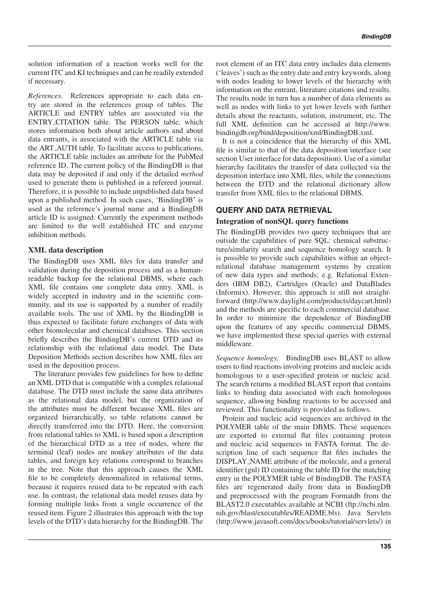solution information of a reaction works well for the current ITC and KI techniques and can be readily extended if necessary.

*References.* References appropriate to each data entry are stored in the references group of tables. The ARTICLE and ENTRY tables are associated via the ENTRY CITATION table. The PERSON table, which stores information both about article authors and about data entrants, is associated with the ARTICLE table via the ART AUTH table. To facilitate access to publications, the ARTICLE table includes an attribute for the PubMed reference ID. The current policy of the BindingDB is that data may be deposited if and only if the detailed *method* used to generate them is published in a refereed journal. Therefore, it is possible to include unpublished data based upon a published method. In such cases, 'BindingDB' is used as the reference's journal name and a BindingDB article ID is assigned. Currently the experiment methods are limited to the well established ITC and enzyme inhibition methods.

#### **XML data description**

The BindingDB uses XML files for data transfer and validation during the deposition process and as a humanreadable backup for the relational DBMS, where each XML file contains one complete data entry. XML is widely accepted in industry and in the scientific community, and its use is supported by a number of readily available tools. The use of XML by the BindingDB is thus expected to facilitate future exchanges of data with other biomolecular and chemical databases. This section briefly describes the BindingDB's current DTD and its relationship with the relational data model. The Data Deposition Methods section describes how XML files are used in the deposition process.

The literature provides few guidelines for how to define an XML DTD that is compatible with a complex relational database. The DTD must include the same data attributes as the relational data model, but the organization of the attributes must be different because XML files are organized hierarchically, so table relations cannot be directly transferred into the DTD. Here, the conversion from relational tables to XML is based upon a description of the hierarchical DTD as a tree of nodes, where the terminal (leaf) nodes are nonkey attributes of the data tables, and foreign key relations correspond to branches in the tree. Note that this approach causes the XML file to be completely denormalized in relational terms, because it requires reused data to be repeated with each use. In contrast, the relational data model reuses data by forming multiple links from a single occurrence of the reused item. Figure 2 illustrates this approach with the top levels of the DTD's data hierarchy for the BindingDB. The

root element of an ITC data entry includes data elements ('leaves') such as the entry date and entry keywords, along with nodes leading to lower levels of the hierarchy with information on the entrant, literature citations and results. The results node in turn has a number of data elements as well as nodes with links to yet lower levels with further details about the reactants, solution, instrument, etc. The full XML definition can be accessed at http://www. bindingdb.org/bind/deposition/xml/BindingDB.xml.

It is not a coincidence that the hierarchy of this XML file is similar to that of the data deposition interface (see section User interface for data deposition). Use of a similar hierarchy facilitates the transfer of data collected via the deposition interface into XML files, while the connections between the DTD and the relational dictionary allow transfer from XML files to the relational DBMS.

### **QUERY AND DATA RETRIEVAL**

#### **Integration of nonSQL query functions**

The BindingDB provides two query techniques that are outside the capabilities of pure SQL: chemical substructure/similarity search and sequence homology search. It is possible to provide such capabilities within an objectrelational database management systems by creation of new data types and methods; e.g. Relational Extenders (IBM DB2), Cartridges (Oracle) and DataBlades (Informix). However, this approach is still not straightforward (http://www.daylight.com/products/daycart.html) and the methods are specific to each commercial database. In order to minimize the dependence of BindingDB upon the features of any specific commercial DBMS, we have implemented these special queries with external middleware.

*Sequence homology.* BindingDB uses BLAST to allow users to find reactions involving proteins and nucleic acids homologous to a user-specified protein or nucleic acid. The search returns a modified BLAST report that contains links to binding data associated with each homologous sequence, allowing binding reactions to be accessed and reviewed. This functionality is provided as follows.

Protein and nucleic acid sequences are archived in the POLYMER table of the main DBMS. These sequences are exported to external flat files containing protein and nucleic acid sequences in FASTA format. The description line of each sequence flat files includes the DISPLAY NAME attribute of the molecule, and a general identifier (gnl) ID containing the table ID for the matching entry in the POLYMER table of BindingDB. The FASTA files are regenerated daily from data in BindingDB and preprocessed with the program Formatdb from the BLAST2.0 executables available at NCBI (ftp://ncbi.nlm. nih.gov/blast/executables/README.bls). Java Servlets (http://www.javasoft.com/docs/books/tutorial/servlets/) in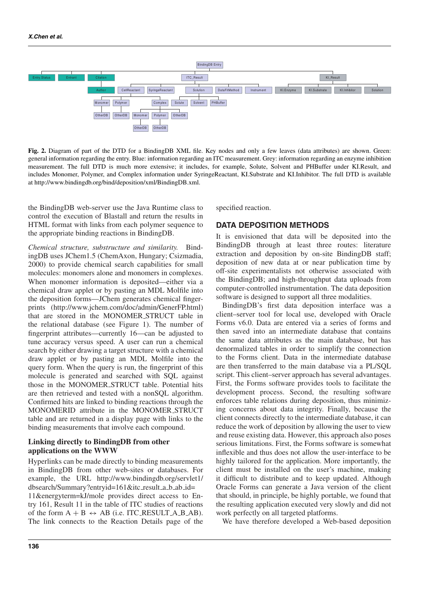

**Fig. 2.** Diagram of part of the DTD for a BindingDB XML file. Key nodes and only a few leaves (data attributes) are shown. Green: general information regarding the entry. Blue: information regarding an ITC measurement. Grey: information regarding an enzyme inhibition measurement. The full DTD is much more extensive; it includes, for example, Solute, Solvent and PHBuffer under KI.Result, and includes Monomer, Polymer, and Complex information under SyringeReactant, KI.Substrate and KI.Inhibitor. The full DTD is available at http://www.bindingdb.org/bind/deposition/xml/BindingDB.xml.

the BindingDB web-server use the Java Runtime class to control the execution of Blastall and return the results in HTML format with links from each polymer sequence to the appropriate binding reactions in BindingDB.

*Chemical structure, substructure and similarity.* BindingDB uses JChem1.5 (ChemAxon, Hungary; Csizmadia, 2000) to provide chemical search capabilities for small molecules: monomers alone and monomers in complexes. When monomer information is deposited—either via a chemical draw applet or by pasting an MDL Molfile into the deposition forms—JChem generates chemical fingerprints (http://www.jchem.com/doc/admin/GenerFP.html) that are stored in the MONOMER STRUCT table in the relational database (see Figure 1). The number of fingerprint attributes—currently 16—can be adjusted to tune accuracy versus speed. A user can run a chemical search by either drawing a target structure with a chemical draw applet or by pasting an MDL Molfile into the query form. When the query is run, the fingerprint of this molecule is generated and searched with SQL against those in the MONOMER STRUCT table. Potential hits are then retrieved and tested with a nonSQL algorithm. Confirmed hits are linked to binding reactions through the MONOMERID attribute in the MONOMER STRUCT table and are returned in a display page with links to the binding measurements that involve each compound.

#### **Linking directly to BindingDB from other applications on the WWW**

Hyperlinks can be made directly to binding measurements in BindingDB from other web-sites or databases. For example, the URL http://www.bindingdb.org/servlet1/ dbsearch/Summary?entryid=161&itc result a b ab id= 11&energyterm=kJ/mole provides direct access to Entry 161, Result 11 in the table of ITC studies of reactions of the form  $A + B \leftrightarrow AB$  (i.e. ITC\_RESULT\_A\_B\_AB). The link connects to the Reaction Details page of the specified reaction.

## **DATA DEPOSITION METHODS**

It is envisioned that data will be deposited into the BindingDB through at least three routes: literature extraction and deposition by on-site BindingDB staff; deposition of new data at or near publication time by off-site experimentalists not otherwise associated with the BindingDB; and high-throughput data uploads from computer-controlled instrumentation. The data deposition software is designed to support all three modalities.

BindingDB's first data deposition interface was a client–server tool for local use, developed with Oracle Forms v6.0. Data are entered via a series of forms and then saved into an intermediate database that contains the same data attributes as the main database, but has denormalized tables in order to simplify the connection to the Forms client. Data in the intermediate database are then transferred to the main database via a PL/SQL script. This client–server approach has several advantages. First, the Forms software provides tools to facilitate the development process. Second, the resulting software enforces table relations during deposition, thus minimizing concerns about data integrity. Finally, because the client connects directly to the intermediate database, it can reduce the work of deposition by allowing the user to view and reuse existing data. However, this approach also poses serious limitations. First, the Forms software is somewhat inflexible and thus does not allow the user-interface to be highly tailored for the application. More importantly, the client must be installed on the user's machine, making it difficult to distribute and to keep updated. Although Oracle Forms can generate a Java version of the client that should, in principle, be highly portable, we found that the resulting application executed very slowly and did not work perfectly on all targeted platforms.

We have therefore developed a Web-based deposition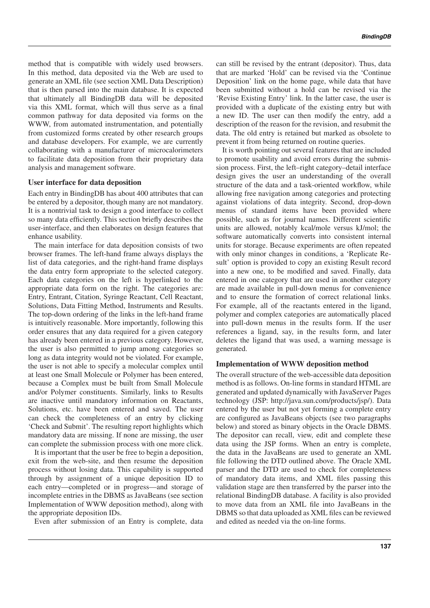method that is compatible with widely used browsers. In this method, data deposited via the Web are used to generate an XML file (see section XML Data Description) that is then parsed into the main database. It is expected that ultimately all BindingDB data will be deposited via this XML format, which will thus serve as a final common pathway for data deposited via forms on the WWW, from automated instrumentation, and potentially from customized forms created by other research groups and database developers. For example, we are currently collaborating with a manufacturer of microcalorimeters to facilitate data deposition from their proprietary data analysis and management software.

#### **User interface for data deposition**

Each entry in BindingDB has about 400 attributes that can be entered by a depositor, though many are not mandatory. It is a nontrivial task to design a good interface to collect so many data efficiently. This section briefly describes the user-interface, and then elaborates on design features that enhance usability.

The main interface for data deposition consists of two browser frames. The left-hand frame always displays the list of data categories, and the right-hand frame displays the data entry form appropriate to the selected category. Each data categories on the left is hyperlinked to the appropriate data form on the right. The categories are: Entry, Entrant, Citation, Syringe Reactant, Cell Reactant, Solutions, Data Fitting Method, Instruments and Results. The top-down ordering of the links in the left-hand frame is intuitively reasonable. More importantly, following this order ensures that any data required for a given category has already been entered in a previous category. However, the user is also permitted to jump among categories so long as data integrity would not be violated. For example, the user is not able to specify a molecular complex until at least one Small Molecule or Polymer has been entered, because a Complex must be built from Small Molecule and/or Polymer constituents. Similarly, links to Results are inactive until mandatory information on Reactants, Solutions, etc. have been entered and saved. The user can check the completeness of an entry by clicking 'Check and Submit'. The resulting report highlights which mandatory data are missing. If none are missing, the user can complete the submission process with one more click.

It is important that the user be free to begin a deposition, exit from the web-site, and then resume the deposition process without losing data. This capability is supported through by assignment of a unique deposition ID to each entry—completed or in progress—and storage of incomplete entries in the DBMS as JavaBeans (see section Implementation of WWW deposition method), along with the appropriate deposition IDs.

Even after submission of an Entry is complete, data

can still be revised by the entrant (depositor). Thus, data that are marked 'Hold' can be revised via the 'Continue Deposition' link on the home page, while data that have been submitted without a hold can be revised via the 'Revise Existing Entry' link. In the latter case, the user is provided with a duplicate of the existing entry but with a new ID. The user can then modify the entry, add a description of the reason for the revision, and resubmit the data. The old entry is retained but marked as obsolete to prevent it from being returned on routine queries.

It is worth pointing out several features that are included to promote usability and avoid errors during the submission process. First, the left–right category–detail interface design gives the user an understanding of the overall structure of the data and a task-oriented workflow, while allowing free navigation among categories and protecting against violations of data integrity. Second, drop-down menus of standard items have been provided where possible, such as for journal names. Different scientific units are allowed, notably kcal/mole versus kJ/mol; the software automatically converts into consistent internal units for storage. Because experiments are often repeated with only minor changes in conditions, a 'Replicate Result' option is provided to copy an existing Result record into a new one, to be modified and saved. Finally, data entered in one category that are used in another category are made available in pull-down menus for convenience and to ensure the formation of correct relational links. For example, all of the reactants entered in the ligand, polymer and complex categories are automatically placed into pull-down menus in the results form. If the user references a ligand, say, in the results form, and later deletes the ligand that was used, a warning message is generated.

#### **Implementation of WWW deposition method**

The overall structure of the web-accessible data deposition method is as follows. On-line forms in standard HTML are generated and updated dynamically with JavaServer Pages technology (JSP: http://java.sun.com/products/jsp/). Data entered by the user but not yet forming a complete entry are configured as JavaBeans objects (see two paragraphs below) and stored as binary objects in the Oracle DBMS. The depositor can recall, view, edit and complete these data using the JSP forms. When an entry is complete, the data in the JavaBeans are used to generate an XML file following the DTD outlined above. The Oracle XML parser and the DTD are used to check for completeness of mandatory data items, and XML files passing this validation stage are then transferred by the parser into the relational BindingDB database. A facility is also provided to move data from an XML file into JavaBeans in the DBMS so that data uploaded as XML files can be reviewed and edited as needed via the on-line forms.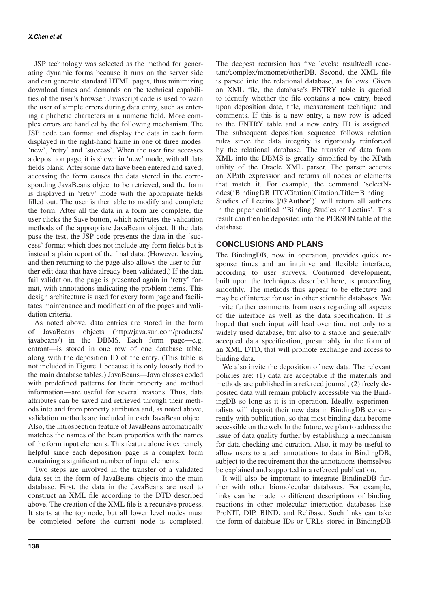JSP technology was selected as the method for generating dynamic forms because it runs on the server side and can generate standard HTML pages, thus minimizing download times and demands on the technical capabilities of the user's browser. Javascript code is used to warn the user of simple errors during data entry, such as entering alphabetic characters in a numeric field. More complex errors are handled by the following mechanism. The JSP code can format and display the data in each form displayed in the right-hand frame in one of three modes: 'new', 'retry' and 'success'. When the user first accesses a deposition page, it is shown in 'new' mode, with all data fields blank. After some data have been entered and saved, accessing the form causes the data stored in the corresponding JavaBeans object to be retrieved, and the form is displayed in 'retry' mode with the appropriate fields filled out. The user is then able to modify and complete the form. After all the data in a form are complete, the user clicks the Save button, which activates the validation methods of the appropriate JavaBeans object. If the data pass the test, the JSP code presents the data in the 'success' format which does not include any form fields but is instead a plain report of the final data. (However, leaving and then returning to the page also allows the user to further edit data that have already been validated.) If the data fail validation, the page is presented again in 'retry' format, with annotations indicating the problem items. This design architecture is used for every form page and facilitates maintenance and modification of the pages and validation criteria.

As noted above, data entries are stored in the form of JavaBeans objects (http://java.sun.com/products/ javabeans/) in the DBMS. Each form page—e.g. entrant—is stored in one row of one database table, along with the deposition ID of the entry. (This table is not included in Figure 1 because it is only loosely tied to the main database tables.) JavaBeans—Java classes coded with predefined patterns for their property and method information—are useful for several reasons. Thus, data attributes can be saved and retrieved through their methods into and from property attributes and, as noted above, validation methods are included in each JavaBean object. Also, the introspection feature of JavaBeans automatically matches the names of the bean properties with the names of the form input elements. This feature alone is extremely helpful since each deposition page is a complex form containing a significant number of input elements.

Two steps are involved in the transfer of a validated data set in the form of JavaBeans objects into the main database. First, the data in the JavaBeans are used to construct an XML file according to the DTD described above. The creation of the XML file is a recursive process. It starts at the top node, but all lower level nodes must be completed before the current node is completed. The deepest recursion has five levels: result/cell reactant/complex/monomer/otherDB. Second, the XML file is parsed into the relational database, as follows. Given an XML file, the database's ENTRY table is queried to identify whether the file contains a new entry, based upon deposition date, title, measurement technique and comments. If this is a new entry, a new row is added to the ENTRY table and a new entry ID is assigned. The subsequent deposition sequence follows relation rules since the data integrity is rigorously reinforced by the relational database. The transfer of data from XML into the DBMS is greatly simplified by the XPath utility of the Oracle XML parser. The parser accepts an XPath expression and returns all nodes or elements that match it. For example, the command 'selectNodes('BindingDB ITC/Citation[Citation.Title=Binding Studies of Lectins']/@Author')' will return all authors in the paper entitled ''Binding Studies of Lectins'. This result can then be deposited into the PERSON table of the database.

#### **CONCLUSIONS AND PLANS**

The BindingDB, now in operation, provides quick response times and an intuitive and flexible interface, according to user surveys. Continued development, built upon the techniques described here, is proceeding smoothly. The methods thus appear to be effective and may be of interest for use in other scientific databases. We invite further comments from users regarding all aspects of the interface as well as the data specification. It is hoped that such input will lead over time not only to a widely used database, but also to a stable and generally accepted data specification, presumably in the form of an XML DTD, that will promote exchange and access to binding data.

We also invite the deposition of new data. The relevant policies are: (1) data are acceptable if the materials and methods are published in a refereed journal; (2) freely deposited data will remain publicly accessible via the BindingDB so long as it is in operation. Ideally, experimentalists will deposit their new data in BindingDB concurrently with publication, so that most binding data become accessible on the web. In the future, we plan to address the issue of data quality further by establishing a mechanism for data checking and curation. Also, it may be useful to allow users to attach annotations to data in BindingDB, subject to the requirement that the annotations themselves be explained and supported in a refereed publication.

It will also be important to integrate BindingDB further with other biomolecular databases. For example, links can be made to different descriptions of binding reactions in other molecular interaction databases like ProNIT, DIP, BIND, and Relibase. Such links can take the form of database IDs or URLs stored in BindingDB